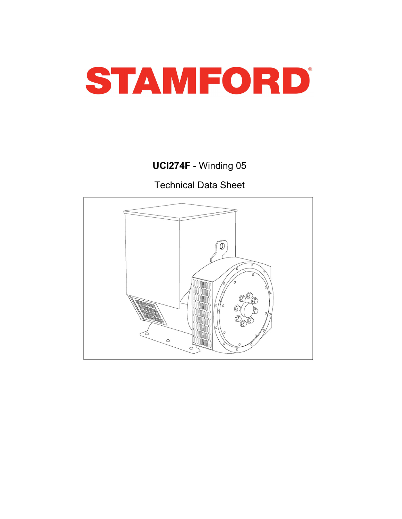

UCI274F - Winding 05

Technical Data Sheet

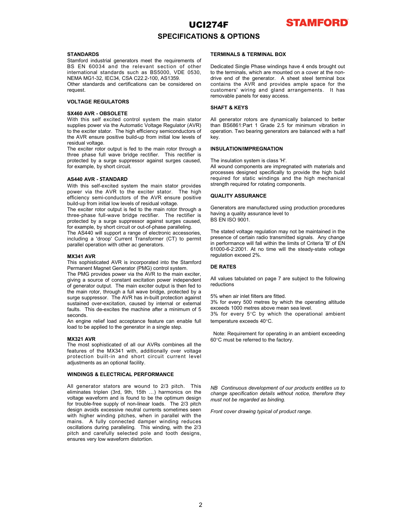

### SPECIFICATIONS & OPTIONS

**STANDARDS STANDARDS STANDARDS STANDARDS EXAMPLE BOX Stamford industrial generators meet the requirements of STANDARD STANDARD FORM** 

request.

**SPECIFICATIONS & OPTIONS<br>
STANDARDS**<br>
STANDARDS<br>
STANDARDS<br>
STANDARDS<br>
STANDARDS<br>
STANDARDS<br>
STANDARDS<br>
STANDARDS<br>
STANDARDS<br>
STANDARDS<br>
STANDARDS<br>
STANDARDS<br>
STANDARDS<br>
STANDARDS<br>
STANDARDS<br>
STANDARDS<br>
STANDARDS<br>
STANDAR **UCI274F**<br>
STANDARDS<br>
STANDARDS<br>
STANDARDS<br>
STANDARDS<br>
STANDARDS<br>
STANDARDS<br>
STANDARDS<br>
STANDARDS<br>
STANDARDS<br>
STANDARDS<br>
STANDARDS<br>
STANDARDS<br>
STANDARDS<br>
STANDARDS<br>
STANDARDS<br>
STANDARDS<br>
STANDARDS<br>
STANDARDS<br>
STANDARDS<br>
ST **STANDARDS**<br> **STANDARDS**<br>
STANDARDS<br>
STANDARDS<br>
SEEREMINAL BOX<br>
SEEREMINAL BOX<br>
SEEREMINAL BOX<br>
SEEREMINAL BOX<br>
SEEREMINAL BOX<br>
INCRIA MG1-32, EC34, CSA C222-202-202, OUO, AS1359.<br>
International standards such as BS5000, V **STANDARDS**<br>
STANDARDS<br>
STANDARDS<br>
STANDARDS<br>
STANDARDS<br>
SEN 100034 and the relevant energies meet the requirements of<br>
ERMINALS & TERMINALS ATERMINAL BOX<br>
SEN 00034 and the relevant section of other Dedicated Single Phas Official statistical diversion of the Considered Chinais (in the Considered Chinais (in the AVR and provides an<br>equation AVR . OBSOLETES<br>
STAGO AVR . OBSOLETES<br>
STAGO AVR . OBSOLETES<br>
STAGO AVR . OBSOLETES<br>
STAGO AVR . OBS

EVAL THE REGULATORS control environment with a some served of version and year is the solution of the Stamford Control environmentally between the solution of the Stamford Control environmentally between the solution of th VOLTAGE REGULATORS<br>
SHAFT & KEYS<br>
SKAFT & KEYS<br>
SKAFT & KEYS<br>
SKAFT & KEYS<br>
With this self excited control system the main stator<br>
NVIII this self excited control system. The main stator<br>
NVIII this self excited control sy **SHAFT & KEYS**<br>
SMAPT & REFORMATIVE STATE SHAFT & REFORMATIVE TO THE CHAIR CONSULTS (With this aff excited control and particle of the pearlier of the main extent of the main state of the main state of the main state of t SYARO ARX - OSSOLETE (SYARID ART - The Note that the Syaristics of Constant in the Syaristics of constant in the source of constant in the constant of the source of constant in the basis of constant in the source of consta With this edf existent control system the main stator All generator rotos are dynamically balanced to better<br>the most particular subsequence of the main external in the most positive to the most properties that the most po angles provide to the main the main the main results of the main results are filed to the main results and the main results are not the main results and the main results are the main results and the main results of the mai surface and The action resolution of the method of the system of the system of the system of the system state in the system state in the system state in the system state in the system surface in the system of the system o the AS440 MW. The sustained with the sustained over the sustained over the sustained over the secient role of the main of the sustained over-external or the sustained of the sustained of the secienties of the secondary of the machine that we controll the standard operation and the machine after the machine phase for the machine state of the machine state of the machine state of the machine state of the machine state of the machine state of The RMS provides into the main state of the main engine into the contribution of the main state in the control of the main state in the system of the main state in the system of the main state in the system of the main sta procedure to be a single recoveration in the minimal contents in the minimal of the minimal of the minimal operator in a single by short circuit of the particular required to the high behaviour of the single step. The mini or example, by snot curricular<br> **EXAMO ARD**<br> **EXAMO PROCESSES designed specifically by<br>
ASAMO ARVE SHE-SCRIED system the main stator provides steregth required for state which is all AVR to the exciter state. The high endu** ASSAN AVRS - STANDARIO the most simulate provides are easily accounted by the excellent and the AVRs complex with the most social the most social that the most social the social theoretical the most social the social theo **AS440 with STMW14601** entropies of the MX341 with the MX3 constrained the MX341 with the MX341 with the MX341 with the MX341 with the MX341 with the MX341 with the MX341 with the MX341 with the MX341 with the MX341 with With this self-scotted system the main state provides<br>
we were the protocoles specifically controlled the main state provides<br>
built-in and built-in and short controlled built-<br>
built-in and built-in and built-in and buil Event was the AVR to the externe state. The high<br>
and the AVR and the AVR censure positive<br>
and the average of manufalle production procedures<br>
the exciter rotor output is fed to the mann rotor through a<br>
Energiese functio build how for the min columb and the periodic of the minimal content and the periodic production procedures are the content of the resolution of the resolution of the content of the content of the content of the content of three-hase full-wave broadge recitine. The receiver is earwing a clustery associates to the method of the content of the content of the CF-brane and CF-brane are wound to 2/3 pitch. The AS440 will ampend to your current Ta

seconds.<br>An engine relief load acceptance feature can enable full

protected by a sumple summation of the matter of the control of the striplen control of the matter of the matter of the matter of the matter of the matter of the matter of the matter of the matter of the matter of the matt for example, by short cricular or the Architecture paralleling, the stated voltage regulation may not be maintained in the optimum designation of the optimum of the optimum designation of the optimum designation of the opt The AS440 will suspect a range of electronic accessors,<br>
The AS440 will suspect a method of non-linear constrained by the 2/3 pitch in the 2/3 pitch in the 2/3 pitch in the 2/3 pitch in the 2/3 pitch in the 2/3 pitch in th moluting a "drop" Current Transformer (CT) to permit measure one will also consider the main terms of the standy-state voltage<br>parallel operators with other as generators.<br> **MX341 AW** This sophisticated AVR is incorporated parallel operation with other acceptators.<br>
WASHA AVE<br>
INDEX winding consideration of the Stamford Construction of the Stamford of the Stamford of New York in the solution<br>
This application of FRAG is incorporated into the M2324 AMP is incorporated into the Stambon of the Concert CoU. As the time search of the Stambon of the Stambon of the Stambon of the Stambon of the Stambon of the Stambon of the Stambon of detection paper and those the pr **MX321 AVR**<br> **MRATA AVR is increased this the Starting Constant and the Constant and Constant and Constant and Constant and Constant and Constant and Constant and Constant and Constant and Constant and Constant and Constan** This cophisticated AVR is incorporated into the Stanford<br>preminent Magnet Generatio (PKK) contride system.<br>
The Terminant Magnet Generatio (PKK) contride system.<br>
The main excited interpretation problem and the reductions Formannet Magnet Generator (PMG) contributes velocity of the rest and the product and dependent of the rest and the constant excited on pole of constant excited on pole of constant excited on pole of dependent excited by a

**STAMFORD**<br>
STANDARDS<br>
STANDARDS<br>
STANDARDS<br>
STANDARDS<br>
STANDARDS<br>
SEEN INCLUSE A CONTIONS & OPTIONS<br>
SEEN INALS & TERMINAL BOX<br>
NEMA MG1-32, IEG34, CSA C22.2-100, AS1359.<br>
MEMA MG1-32, IEG34, CSA C22.2-100, AS1359.<br>
ONE s **UCI274F**<br> **SPECIFICATIONS & OPTIONS**<br>
STAMPORD<br>
STAMPORD<br>
STAMPORD<br>
STAMPORD<br>
STAMPORD<br>
STAMPORD<br>
INSERVENT SOME ON THE RESSONOO, VDE 0530, the relevant section of other<br>
International standards such as BS5000, VDE 0530,<br> **ICI274F**<br> **STANDARDS**<br>
STANDARDS<br>
STANDARDS<br>
STANDARDS<br>
SERIGION INTERMINALS & TERMINALS AS TERMINALS AND SAME ON SURFAINING THE CONSULTER AND ASSES EN 60034 and the relevant section of other Dedicated Single Phase windin **UCI274F**<br>
SPECIFICATIONS & OPTIONS<br>
STANDARDS<br>
SEN 60034 and the relevant section of other<br>
DES EN 60034 and the relevant section of other<br>
International standards such as BSS500, VDE 0530, the terminals, which are mounte **UCI274F**<br> **STAMFORD**<br>
STAMPARDS<br>
STAMPARDS<br>
STAMPARDS<br>
STAMPARDS<br>
SEEN 60034 and the relevant section of other predicated Single Phase windings have 4 ends brought out<br>
International standards such as BS5000, VDE 0530, to **UCI274F**<br> **STAMPORD**<br>
STAMPADS<br>
SIMPORDIS SALE SPECIFICATIONS & OPTIONS<br>
SIMPORD ASSENT ON THE SEVIDENCE SERVINALS A TERMINAL BOX<br>
AS EN COD 34 and the relevant section of other policideals Single Phase windings have 4 e **STAMPORD**<br>
STAMPADS<br>
STAMPADS<br>
SURANDARDS<br>
SURANDARDS SURANDER SURANDER SURANDER SURANDER SURANDER SURANDER SURANDER SURANDER SURANDER SURANDER SURANDER SURANDER INTERNATION (INTERNATION INTERNATION CONTRACT A SHOP of the **UCI274F STAMFORD**<br>
STAMBADS<br>
STAMBALS & CPTIONS<br>
Simmord Industrial generators meet the requirements of<br>
BSTEN (0034 and the relevant section of other Dedicated Single Phase windings have 4 ends brought out<br>
Signe EN ( **UCI274F STAMPORD**<br>
STAMPADS<br>
STAMPADS<br>
SIGNING THE SECTIONS AS OPTIONS<br>
SIGNING INSTRUMENT CONTINUALS ATERMINAL BOX<br>
SIGN and the relevant assign to the transitional standards such as BS5000, VDE 0530, to the terminals, **UCI274F STAMFORD**<br>
STANDARDS<br>
STANDARDS STANDARDS STANDARDS AS OPTIONS AS OPTIONS AS TERMINAL BOX<br>
DISTRIBITED INTO THE TRANSPORTED TO THE MAIN CONSULTED THE MAIN CONSULTED THE MAIN CONSULTED INTO THE MAIN RESERVE TO A **UCI274F**<br>
STANDARDS<br>
STANDARDS<br>
STANDARDS<br>
STANDARDS<br>
SIGNIFICATIONS AS OPTIONS<br>
SIGN three fellows and the requirements of<br>
BS TANDARDS<br>
SIGN and the relevant section of their Decision and the rectifier<br>
infinitental st **STAMFORD**<br>
STANDARDS<br>
STANDARDS<br>
STANDARDS SATES TO SOCIET CATIONS & OPTIONS<br>
STANDARDS<br>
IS EN 50034 and the neilsvards research set the regular of the Persical Single Phase windings have 4 ends brought out<br>
International **STAMPO**<br>
SPECIFICATIONS & OPTIONS<br>
STANDARDS<br>
STANDARDS<br>
SEEN ANDARDS<br>
SEEN ANDARDS<br>
SEEN 60034 and the relevant decision of other Dedicated Single Prate windings have 4 ends broughter<br>
NEMNALS & TERMINAL BOX<br>
NEMA MG1-32 **UCI274F**<br>
STANDARDS<br>
STERMINALS ATERMINALS ATERMINALS AREA INDUSTRIBUTED THE STATISTIC CONDUCT THE SELF CONDUCT THE SELF EXCITED AND SELF AND 135 SERVIT AND SELF AND 135 SERVIT AND SELF AND 135 SERVIT AND 100000000000000 **STAMPORD**<br>
SPECIFICATIONS & OPTIONS<br>
Stamford industrial generators meet the requirements of<br>
Stamford industrial generators meet the requirements of<br>
Stamford industrial generators meet the requirements of<br>
Stamford ind **EFAINDARDS STANDARDS SET THE CONSULTER THE SET THE STANDARD SET THE STANDARD SET THE INTERNATION CONSULTER THE SET THE INTERNATION CONSULTER THE SET THE SET THE STANDARD CONSULTER THE STANDARD CONSULTER THE SET THE STAND STANDARDS**<br>
STANDARDS<br>
STANDARDS<br>
STANDARDS<br>
STANDARDS<br>
STERMINALS & TERMINALS & TERMINALS ATERMINALS ATERMINALS ARE<br>
Intermational standards and the relevant section of other<br>
Instandards and the relevant section of othe **STANDARDS**<br>
Stamford industrial generators meet the requirements of<br>
Stamford industrial generators meet the requirements of<br>
Scheduled Single Phase windings have 4 ends brought out<br>
Stamford industrial decreases and cer STANDARDS<br>
STANDARDS<br>
STANDARDS<br>
STANDARDS<br>
STANDARDS<br>
ISS. THE ROSS can be relevant section of other Dedicated Single Phase windings have 4 ends brought out<br>
Intervantional standards such as BS5005. VDE 0530, to the termi **STAMINALS & TERMINALS & TERMINALS & TERMINALS & TERMINALS & TERMINAL BOX<br>
Shamford insulting in the relations for deterministing a phase winding that the relations and the relations of other Paulisian Similar the minimal** Show the mission are the requirements of the community of the mission and the relation of the CHAT ANSIDE Phase windings have 4 ends brought out-<br>Short control of the state of the relation of order the control of the Decir Be The Research end the AVR to the excited accessories, the centroid in the State of the State of electronic accessories, the centroid in the State of electronic access the electronic accessories. CDM states and the state international value and the section of the section of the section of the section of the section of the section of the section of the section of the section of the section of the section of the section of the AVE and provid **STAMFORD**<br> **STAMFORD**<br> **STAMFORD**<br> **Dedicated Single Phase windings have 4 ends brought out**<br>
to the terminals, which are mounted on a cover at the non-<br>
drive end of the generator. A sheet steel terminal box<br>
contains th **STAMFORD**<br>
STAMFORD<br>
TERMINALS & TERMINAL BOX<br>
Dedicated Single Phase windings have 4 ends brought out<br>
to the terminals, which are mounted on a cover at the non-<br>
drive end of the generator. A sheet steel terminal box<br>
c **STAMFORD**<br>**STAMFORD**<br>TERMINALS & TERMINAL BOX<br>Dedicated Single Phase windings have 4 ends brought out<br>to the terminals, which are mounted on a cover at the non-<br>drive end of the generator. A sheet steel terminal box<br>cunta **STAMFORD**<br> **STAMFORD**<br> **STAMFORD**<br> **Dedicated Single Phase windings have 4 ends brought out**<br>
to the terminals, which are mounted on a cover at the non-<br>
drive end of the generator. A sheet steel terminal box<br>
contains th **CONTRIGE STAMFORD**<br>
SCOPTIONS<br>
Dedicated Single Phase windings have 4 ends brought out<br>
both the terminals, which are mounted on a cover at the non-<br>
drive end of the generator. A sheet steel terminal box<br>
contains the A **CONTRIGE STAMFORD**<br>
SECUSE SERVINAL BOX<br>
Dedicated Single Phase windings have 4 ends brought out<br>
both the terminals, which are mounted on a cover at the non-<br>
drive end of the generator. A sheet steel terminal box<br>
cont **STAMFORD**<br> **STAMFORD**<br> **STAMFORD**<br> **TERMINALS & TERMINAL BOX**<br>
Dedicated Single Phase windings have 4 ends brought out<br>
to the terminals, which are mounted on a cover at the non-<br>
drive end of the generator. A sheet steel **STAMFORD**<br>
S & OPTIONS<br>
TERMINALS & TERMINAL BOX<br>
Dedicated Single Phase windings have 4 ends brought out<br>
to the terminals, which are mounted on a cover at the non-<br>
drive end of the generator. A sheet steel terminal box **STAMFORD**<br>
S & OPTIONS<br>
Dedicated Single Phase windings have 4 ends brought out<br>
to the terminals, which are mounted on a cover at the non-<br>
drive end of the generator. A sheet steel terminal box<br>
contains the AVR and pro **STAMFORD**<br>
STAMFORD<br>
STAMINAL SA TERMINAL BOX<br>
Dedicated Single Phase windings have 4 ends brought out<br>
to the terminals, which are mounted on a cover at the non-<br>
drive end of the generator. A sheet steel terminal box<br>
c **STAMFORD**<br>
SEX & OPTIONS<br>
Dedicated Single Phase windings have 4 ends brought out<br>
to the terminals, which are mounted on a cover at the non-<br>
drive end of the generator. A sheet steel terminal box<br>
contains the AVR and p **STAMFORD**<br> **SS & OPTIONS**<br> **SS & OPTIONS**<br> **DEREMINAL BOX**<br> **DEREMINAL BOX**<br> **DEREMINAL BOX**<br> **EXEMPLE TO A SUBMAL BOX**<br> **EXEMPLE TO A SUBMAL BOX**<br> **CONDIST BOX**<br> **CONDIST BOX**<br> **CONDIST BOX**<br> **CONDIST BOX**<br> **CONDIST BOX STAMFORD**<br> **STAMFORD**<br> **STAMFORD**<br> **DESCRIPS ARE THERMINAL BOX**<br>
Dedicated Single Phase windings have 4 ends brought out<br>
to the terminals, which are mounted on a cover at the non-<br>
diverse end of the generator. A sheet s **STAMFORD**<br>
S & OPTIONS<br>
TERMINALS & TERMINAL BOX<br>
Dedicated Single Phase windings have 4 ends brought out<br>
to the terminals, which are mounted on a cover at the non-<br>
contains the AVR and provides ample space for the<br>
con **TAL STAMFORD**<br> **STAMFORD**<br> **STAMFORD**<br> **STAMFORD**<br> **DESCRIBITED PROFORMAL BOX**<br> **DESCRIBITED PROFORMAL SCRIP TO A SET AND A CONDITED ANCH ARE SCRIB TO A CONDITED AND CONDITED SURFORMALL SURFORMALL SURFORMALL SURFORMALL ST STAMFORD**<br>
STAMFORD<br>
STAMFORD<br>
Dedicated Single Phase windings have 4 ends brought out<br>
be the terminals, which are mounted on a cover at the non-<br>
contains the AVR and provides ample space for the<br>
contains the AVR and p **SECUTE ASSEMANT CONSTRANT CONSTRANT CONSTRANT CONSTRANT CONSTRANT CONSTRANT DESCRIPTIONS**<br>
Dedicated Single Phase windings have 4 ends brought out to the terminals, which are mounted on a cover at the non-<br>
contains the A **TERMINALS & TERMINAL BOX**<br>
Dedicated Single Phase windings have 4 ends brought out<br>
to the terminals, which are mounted on a cover at the non-<br>
drive end of the generator. A sheet steel terminal box<br>
contains the AVR and **TERMINAL S & TERMINAL BOX**<br>
Dedicated Single Phase windings have 4 ends brought out<br>
to the terminals, which are mounted on a cover at the non-<br>
drive end of the generator. A sheet steel terminal box<br>
customers' wiring an **TERMINALS & TERMINAL BOX**<br>Dedicated Single Phase windings have 4 ends brought out<br>to the terminals, which are mounted on a cover at the non-<br>drive end of the generator. A sheet steel terminal box<br>contains the AVR and prov Dedicated Single Phase windings have 4 ends brought out<br>to the terminals, which are mounted on a cover at the non-<br>drive end of the generator. A sheet steel terminal box<br>coutains the AVR and provides ample space for the<br>cu Dedicated Single Phase windings have 4 ends brought out<br>to the terminals, which are mounted on a cover at the non-<br>drive end of the generator. A shelt stell terminal box<br>contains the AVR and provides ample space for the<br>cu

key.

### INSULATION/IMPREGNATION

NEE NEE TON CONTROL INTERNATION CONTROL INTERNATION CONTROL INTERNATION CONTROL INTERNATION CONTROL INTERNATION CONTROL INTERNATION CONTROL INTERNATION CONTROL INTERNATION CONTROL INTERNATION CONTROL INTERNATION CONTROL IN to the terminals, which are mounted on a cover at the non-<br>drive end of the generator. A sheet steel terminal box<br>contains the AVR and provides ample space for the<br>customers' wiring and gland arrangements. It has<br>termovabl drive end of the generator. A sheet steel terminal box<br>contains the AVR and provides ample space for the<br>customers' wiring and gland arrangements. It has<br>removable panels for easy access.<br>SHAFT & KEYS<br>All generator rotors contains the AVR and provides ample space for the<br>customers' wiring and gland arrangements. It has<br>removable panels for easy access.<br>SHAFT & KEYS<br>All generator rotors are dynamically balanced to better<br>than BS6661:Part 1 G removable panels for easy access.<br>
SHAFT & KEYS<br>
All generator rotors are dynamically balanced to better<br>
than BS6861Part 1 Grade 2.5 for minimum vibration in<br>
operation. Two bearing generators are balanced with a half<br>
ey **SHAFT & KEYS**<br>All generator rotors are dynamically balanced to better<br>than BS6861:Part 1 Grade 2.5 for minimum vibration in<br>operation. Two bearing generators are balanced with a half<br>key.<br>
MSULATION/IMPREGNATION<br>
All voun than BS6861:1Part 1 Grade 2.5 tor minimum vibration in<br>the master increase are balanced with a half<br>experiments are balanced with a half<br>key.<br>INSULATION/IMPREGNATION<br>The insulation system is class 'H'.<br>NISULATION/IMPREGNAT operation. I wo bearing generators are balanced with a half<br>Ney.<br>Wey.<br>INSULATION/IMPREGNATION<br>The insulation system is class 'H'.<br>All wound components are impregnated with materials and<br>processes designed specifically to p key.<br>
INDILATION/IMPREGNATION<br>
The insulation system is class "H".<br>
The insulation system is class "H".<br>
All wound components are impregnated with materials and<br>
processes designed specifically to provide the high mechanic INSULATION/IMPREGNATION<br>The insulation system is class 'H'.<br>All wound components are impregnated with materials and<br>processes designed specifically to provide the high build<br>required for static windings and the high mechan The insulation system is class 'H'.<br>The insulation system is class 'H'.<br>All wound components are impregnated with materials and<br>processes designed specifically to provide the high build<br>required for static windings and the no insulation of year in the migridian divided the high build divided components are impegnated with materials and papirel specifically to provide the high build dequired for static windings and the high mechanical trength Frechost content of static windings and the high build<br>processes designed specifically to provide the high build<br>required for static windings and the high mechanical<br>strength required for rotating components.<br>**QUALITY ASSU** BS EN ISO 9001.<br>The stated voltage regulation may not be maintained in the preformance of dertain radio transmitted signals. Any change<br>In performance will fall within the limits of Criteria Ts' of EN<br>61000-62:2001. At no The stated voltage regulation may not be maintained in the presence of certain radio transmitted signals. Any change in performance will fall within the limits of Criteria <sup>TB</sup> of EN 61000-6-2:2001. At no their will the st The stated voltage regulation may not be maintained in the<br>presence of certain radio transmitted signals. Any change<br>in performance will fall within the limits of Criteria <sup>B</sup> of EN<br>et 000-6-2.2001. At no time will the ste in performance will fall within the limits of Criteria 'B' of EN<br>of 000-6-2/2001. At no time will the steady-state voltage<br>ergulation exceed 2%.<br>DE RATES<br>DE RATES<br>All values tabulated on page 7 are subject to the following

reductions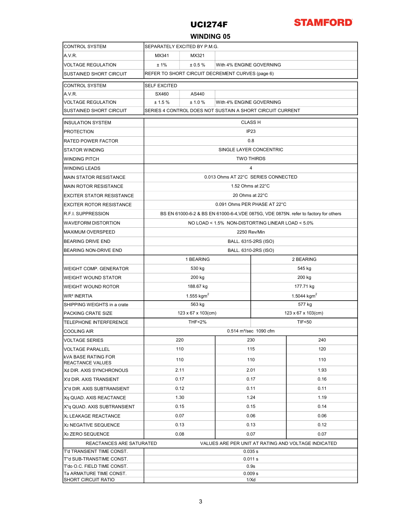

### WINDING 05

| <b>CONTROL SYSTEM</b>                                   | SEPARATELY EXCITED BY P.M.G.                                                         |                    |      |                         |      |  |  |  |
|---------------------------------------------------------|--------------------------------------------------------------------------------------|--------------------|------|-------------------------|------|--|--|--|
| A.V.R.                                                  | MX341<br>MX321                                                                       |                    |      |                         |      |  |  |  |
| <b>VOLTAGE REGULATION</b>                               | ±1%<br>± 0.5%<br>With 4% ENGINE GOVERNING                                            |                    |      |                         |      |  |  |  |
| <b>SUSTAINED SHORT CIRCUIT</b>                          | REFER TO SHORT CIRCUIT DECREMENT CURVES (page 6)                                     |                    |      |                         |      |  |  |  |
| CONTROL SYSTEM                                          | <b>SELF EXCITED</b>                                                                  |                    |      |                         |      |  |  |  |
| A.V.R.                                                  | SX460                                                                                | AS440              |      |                         |      |  |  |  |
| <b>VOLTAGE REGULATION</b>                               | ± 1.5%<br>± 1.0 %<br>With 4% ENGINE GOVERNING                                        |                    |      |                         |      |  |  |  |
| <b>SUSTAINED SHORT CIRCUIT</b>                          | SERIES 4 CONTROL DOES NOT SUSTAIN A SHORT CIRCUIT CURRENT                            |                    |      |                         |      |  |  |  |
| <b>INSULATION SYSTEM</b>                                | <b>CLASS H</b>                                                                       |                    |      |                         |      |  |  |  |
| <b>PROTECTION</b>                                       | IP <sub>23</sub>                                                                     |                    |      |                         |      |  |  |  |
| <b>RATED POWER FACTOR</b>                               | 0.8                                                                                  |                    |      |                         |      |  |  |  |
| <b>STATOR WINDING</b>                                   | SINGLE LAYER CONCENTRIC                                                              |                    |      |                         |      |  |  |  |
| WINDING PITCH                                           | <b>TWO THIRDS</b>                                                                    |                    |      |                         |      |  |  |  |
| WINDING LEADS                                           | $\overline{4}$                                                                       |                    |      |                         |      |  |  |  |
| <b>MAIN STATOR RESISTANCE</b>                           | 0.013 Ohms AT 22°C SERIES CONNECTED                                                  |                    |      |                         |      |  |  |  |
| MAIN ROTOR RESISTANCE                                   | 1.52 Ohms at 22°C                                                                    |                    |      |                         |      |  |  |  |
| <b>EXCITER STATOR RESISTANCE</b>                        | 20 Ohms at 22°C                                                                      |                    |      |                         |      |  |  |  |
| <b>EXCITER ROTOR RESISTANCE</b>                         | 0.091 Ohms PER PHASE AT 22°C                                                         |                    |      |                         |      |  |  |  |
| R.F.I. SUPPRESSION                                      | BS EN 61000-6-2 & BS EN 61000-6-4, VDE 0875G, VDE 0875N. refer to factory for others |                    |      |                         |      |  |  |  |
| <b>WAVEFORM DISTORTION</b>                              | NO LOAD < 1.5% NON-DISTORTING LINEAR LOAD < 5.0%                                     |                    |      |                         |      |  |  |  |
| <b>MAXIMUM OVERSPEED</b>                                | 2250 Rev/Min                                                                         |                    |      |                         |      |  |  |  |
| <b>BEARING DRIVE END</b>                                | BALL. 6315-2RS (ISO)                                                                 |                    |      |                         |      |  |  |  |
| <b>BEARING NON-DRIVE END</b>                            | BALL. 6310-2RS (ISO)                                                                 |                    |      |                         |      |  |  |  |
|                                                         |                                                                                      | 1 BEARING          |      | 2 BEARING               |      |  |  |  |
| <b>WEIGHT COMP. GENERATOR</b>                           |                                                                                      | 530 kg             |      | 545 kg                  |      |  |  |  |
| WEIGHT WOUND STATOR                                     |                                                                                      | 200 kg             |      | 200 kg                  |      |  |  |  |
| WEIGHT WOUND ROTOR                                      |                                                                                      | 188.67 kg          |      | 177.71 kg               |      |  |  |  |
| WR <sup>2</sup> INERTIA                                 |                                                                                      | 1.555 $kgm2$       |      | 1.5044 kgm <sup>2</sup> |      |  |  |  |
| SHIPPING WEIGHTS in a crate                             |                                                                                      | 577 kg             |      |                         |      |  |  |  |
| PACKING CRATE SIZE                                      |                                                                                      | 123 x 67 x 103(cm) |      | 123 x 67 x 103(cm)      |      |  |  |  |
| <b>TELEPHONE INTERFERENCE</b>                           | <b>THF&lt;2%</b><br><b>TIF&lt;50</b>                                                 |                    |      |                         |      |  |  |  |
| <b>COOLING AIR</b>                                      | 0.514 m <sup>3</sup> /sec 1090 cfm                                                   |                    |      |                         |      |  |  |  |
| <b>VOLTAGE SERIES</b>                                   |                                                                                      | 220                |      | 230                     | 240  |  |  |  |
| <b>VOLTAGE PARALLEL</b>                                 | 110                                                                                  |                    | 115  |                         | 120  |  |  |  |
| kVA BASE RATING FOR<br><b>REACTANCE VALUES</b>          | 110                                                                                  |                    | 110  |                         | 110  |  |  |  |
| Xd DIR. AXIS SYNCHRONOUS                                | 2.11                                                                                 |                    | 2.01 |                         | 1.93 |  |  |  |
| X'd DIR. AXIS TRANSIENT                                 | 0.17                                                                                 |                    | 0.17 |                         | 0.16 |  |  |  |
| X"d DIR. AXIS SUBTRANSIENT                              | 0.12                                                                                 |                    | 0.11 |                         | 0.11 |  |  |  |
| Xq QUAD. AXIS REACTANCE                                 | 1.30                                                                                 |                    | 1.24 |                         | 1.19 |  |  |  |
| X"q QUAD. AXIS SUBTRANSIENT                             | 0.15                                                                                 |                    | 0.15 |                         | 0.14 |  |  |  |
| XL LEAKAGE REACTANCE                                    | 0.07                                                                                 |                    | 0.06 |                         | 0.06 |  |  |  |
| X <sub>2</sub> NEGATIVE SEQUENCE                        | 0.13<br>0.13                                                                         |                    |      |                         | 0.12 |  |  |  |
| X <sub>0</sub> ZERO SEQUENCE                            | 0.08<br>0.07<br>0.07                                                                 |                    |      |                         |      |  |  |  |
| REACTANCES ARE SATURATED                                | VALUES ARE PER UNIT AT RATING AND VOLTAGE INDICATED                                  |                    |      |                         |      |  |  |  |
| T'd TRANSIENT TIME CONST.                               | 0.035 s                                                                              |                    |      |                         |      |  |  |  |
| T"d SUB-TRANSTIME CONST.<br>T'do O.C. FIELD TIME CONST. | 0.011 s<br>0.9s                                                                      |                    |      |                         |      |  |  |  |
| Ta ARMATURE TIME CONST.                                 | 0.009 s                                                                              |                    |      |                         |      |  |  |  |
| SHORT CIRCUIT RATIO                                     | 1/Xd                                                                                 |                    |      |                         |      |  |  |  |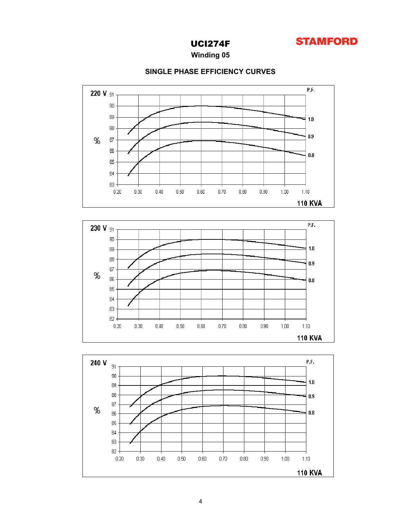

Winding 05



### SINGLE PHASE EFFICIENCY CURVES



 $0.80\,$ 

 $0.90\,$ 

 $1.00\,$ 

 $1.10\,$ **110 KVA** 

 $0.70\,$ 

83 82

 $0.20\,$ 

 $0.30$ 

 $0.40\,$ 

 $0.50\,$ 

 $0.60\,$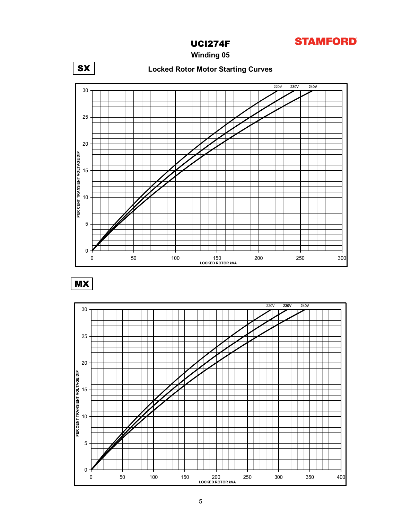

Winding 05



 $MX$ 

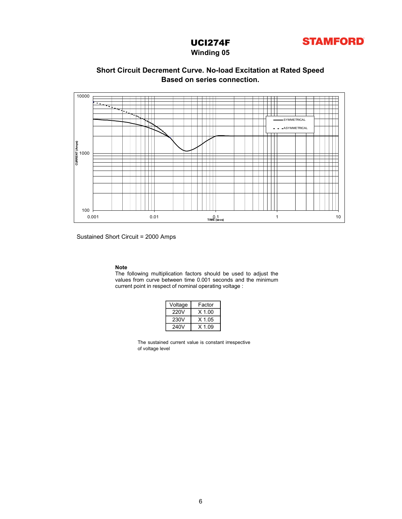

### Winding 05

## Based on series connection. Short Circuit Decrement Curve. No-load Excitation at Rated Speed



Sustained Short Circuit = 2000 Amps

Note<br>The following multiplication factors should be used to adjust the

| Voltage | Factor   |
|---------|----------|
| 220V    | $X$ 1.00 |
| 230V    | $X$ 1.05 |
| 240V    | $X$ 1.09 |

The sustained current value is constant irrespective of voltage level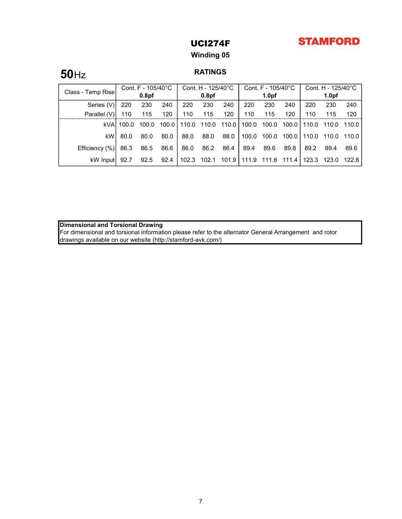# **STAMFORD**

# UCI274F

## Winding 05

# **50**Hz RATINGS

| Class - Temp Rise | Cont. F - 105/40°C |                   | Cont. H - 125/40°C |       | Cont. $F - 105/40^{\circ}$ C |         |       | Cont. H - 125/40°C |       |       |                   |         |
|-------------------|--------------------|-------------------|--------------------|-------|------------------------------|---------|-------|--------------------|-------|-------|-------------------|---------|
|                   |                    | 0.8 <sub>pf</sub> |                    |       | 0.8 <sub>pf</sub>            |         |       | 1.0 <sub>pf</sub>  |       |       | 1.0 <sub>pf</sub> |         |
| Series (V)        | 220                | 230               | 240                | 220   | 230                          | 240     | 220   | 230                | 240   | 220   | 230               | 240     |
| Parallel (V)      | 110                | 115               | 120                | 110   | 115                          | 120     | 110   | 115                | 120   | 110   | 115               | 120     |
| kVA               | 100.0              | 100.0             | 100.0              | 110.0 | 110.0                        | 110.0   | 100.0 | 100.0              | 100.0 | 110.0 | 110.0             | 110.0   |
| kW                | 80.0               | 80.0              | 80.0               | 88.0  | 88.0                         | 88.0    | 100.0 | 100.0              | 100.0 | 110.0 | 110.0             | 110.0 l |
| Efficiency (%)    | 86.3               | 86.5              | 86.6               | 86.0  | 86.2                         | 86.4    | 89.4  | 89.6               | 89.8  | 89.2  | 89.4              | 89.6    |
| kW Inputl         | 92.7               | 92.5              | 92.4               | 102.3 | 102.1                        | 101.9 L | 111.9 | 111.6              | 111.4 | 123.3 | 123.0             | 122.8 I |

Dimensional and Torsional Drawing

For dimensional and torsional information please refer to the alternator General Arrangement and rotor drawings available on our website (http://stamford-avk.com/)